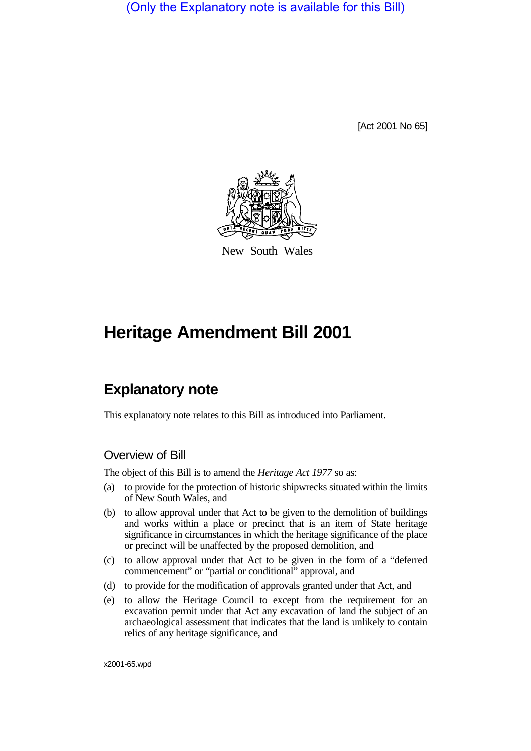(Only the Explanatory note is available for this Bill)

[Act 2001 No 65]



New South Wales

# **Heritage Amendment Bill 2001**

# **Explanatory note**

This explanatory note relates to this Bill as introduced into Parliament.

## Overview of Bill

The object of this Bill is to amend the *Heritage Act 1977* so as:

- (a) to provide for the protection of historic shipwrecks situated within the limits of New South Wales, and
- (b) to allow approval under that Act to be given to the demolition of buildings and works within a place or precinct that is an item of State heritage significance in circumstances in which the heritage significance of the place or precinct will be unaffected by the proposed demolition, and
- (c) to allow approval under that Act to be given in the form of a "deferred commencement" or "partial or conditional" approval, and
- (d) to provide for the modification of approvals granted under that Act, and
- (e) to allow the Heritage Council to except from the requirement for an excavation permit under that Act any excavation of land the subject of an archaeological assessment that indicates that the land is unlikely to contain relics of any heritage significance, and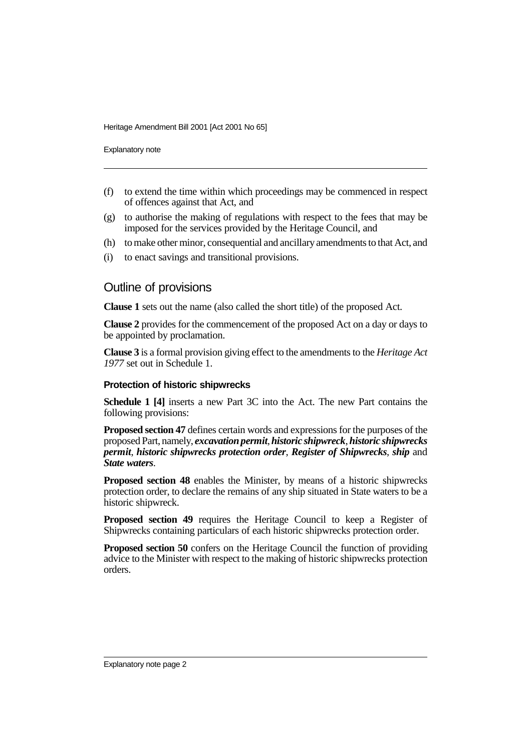Explanatory note

- (f) to extend the time within which proceedings may be commenced in respect of offences against that Act, and
- (g) to authorise the making of regulations with respect to the fees that may be imposed for the services provided by the Heritage Council, and
- (h) to make other minor, consequential and ancillary amendments to that Act, and
- (i) to enact savings and transitional provisions.

### Outline of provisions

**Clause 1** sets out the name (also called the short title) of the proposed Act.

**Clause 2** provides for the commencement of the proposed Act on a day or days to be appointed by proclamation.

**Clause 3** is a formal provision giving effect to the amendments to the *Heritage Act 1977* set out in Schedule 1.

#### **Protection of historic shipwrecks**

**Schedule 1 [4]** inserts a new Part 3C into the Act. The new Part contains the following provisions:

**Proposed section 47** defines certain words and expressions for the purposes of the proposed Part, namely, *excavation permit*, *historic shipwreck*, *historic shipwrecks permit*, *historic shipwrecks protection order*, *Register of Shipwrecks*, *ship* and *State waters*.

**Proposed section 48** enables the Minister, by means of a historic shipwrecks protection order, to declare the remains of any ship situated in State waters to be a historic shipwreck.

**Proposed section 49** requires the Heritage Council to keep a Register of Shipwrecks containing particulars of each historic shipwrecks protection order.

**Proposed section 50** confers on the Heritage Council the function of providing advice to the Minister with respect to the making of historic shipwrecks protection orders.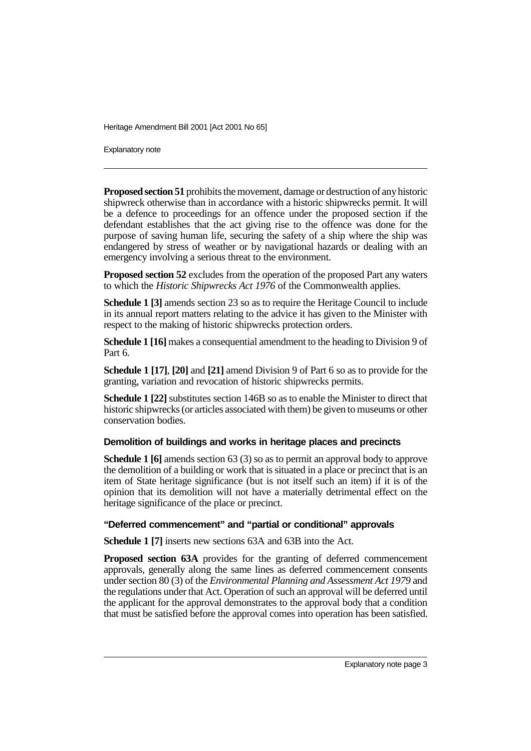Explanatory note

**Proposed section 51** prohibits the movement, damage or destruction of any historic shipwreck otherwise than in accordance with a historic shipwrecks permit. It will be a defence to proceedings for an offence under the proposed section if the defendant establishes that the act giving rise to the offence was done for the purpose of saving human life, securing the safety of a ship where the ship was endangered by stress of weather or by navigational hazards or dealing with an emergency involving a serious threat to the environment.

**Proposed section 52** excludes from the operation of the proposed Part any waters to which the *Historic Shipwrecks Act 1976* of the Commonwealth applies.

**Schedule 1 [3]** amends section 23 so as to require the Heritage Council to include in its annual report matters relating to the advice it has given to the Minister with respect to the making of historic shipwrecks protection orders.

**Schedule 1 [16]** makes a consequential amendment to the heading to Division 9 of Part 6.

**Schedule 1 [17]**, **[20]** and **[21]** amend Division 9 of Part 6 so as to provide for the granting, variation and revocation of historic shipwrecks permits.

**Schedule 1 [22]** substitutes section 146B so as to enable the Minister to direct that historic shipwrecks (or articles associated with them) be given to museums or other conservation bodies.

#### **Demolition of buildings and works in heritage places and precincts**

**Schedule 1 [6]** amends section 63 (3) so as to permit an approval body to approve the demolition of a building or work that is situated in a place or precinct that is an item of State heritage significance (but is not itself such an item) if it is of the opinion that its demolition will not have a materially detrimental effect on the heritage significance of the place or precinct.

#### **"Deferred commencement" and "partial or conditional" approvals**

**Schedule 1 [7]** inserts new sections 63A and 63B into the Act.

**Proposed section 63A** provides for the granting of deferred commencement approvals, generally along the same lines as deferred commencement consents under section 80 (3) of the *Environmental Planning and Assessment Act 1979* and the regulations under that Act. Operation of such an approval will be deferred until the applicant for the approval demonstrates to the approval body that a condition that must be satisfied before the approval comes into operation has been satisfied.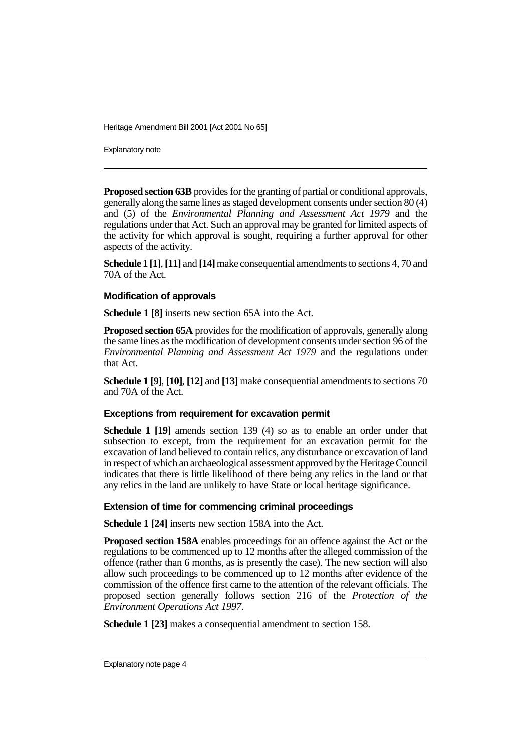Explanatory note

**Proposed section 63B** provides for the granting of partial or conditional approvals, generally along the same lines as staged development consents under section 80 (4) and (5) of the *Environmental Planning and Assessment Act 1979* and the regulations under that Act. Such an approval may be granted for limited aspects of the activity for which approval is sought, requiring a further approval for other aspects of the activity.

**Schedule 1 [1]**, **[11]** and **[14]** make consequential amendments to sections 4, 70 and 70A of the Act.

#### **Modification of approvals**

**Schedule 1 [8]** inserts new section 65A into the Act.

**Proposed section 65A** provides for the modification of approvals, generally along the same lines as the modification of development consents under section 96 of the *Environmental Planning and Assessment Act 1979* and the regulations under that Act.

**Schedule 1 [9]**, **[10]**, **[12]** and **[13]** make consequential amendments to sections 70 and 70A of the Act.

#### **Exceptions from requirement for excavation permit**

**Schedule 1 [19]** amends section 139 (4) so as to enable an order under that subsection to except, from the requirement for an excavation permit for the excavation of land believed to contain relics, any disturbance or excavation of land in respect of which an archaeological assessment approved by the Heritage Council indicates that there is little likelihood of there being any relics in the land or that any relics in the land are unlikely to have State or local heritage significance.

#### **Extension of time for commencing criminal proceedings**

**Schedule 1 [24]** inserts new section 158A into the Act.

**Proposed section 158A** enables proceedings for an offence against the Act or the regulations to be commenced up to 12 months after the alleged commission of the offence (rather than 6 months, as is presently the case). The new section will also allow such proceedings to be commenced up to 12 months after evidence of the commission of the offence first came to the attention of the relevant officials. The proposed section generally follows section 216 of the *Protection of the Environment Operations Act 1997*.

**Schedule 1 [23]** makes a consequential amendment to section 158.